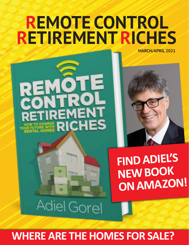## **REMOTE CONTROL RETIREMENTRICHES MARCH/APRIL 2021**





**FIND ADIEL'S ON AMAZON!** 

Adiel Gorel

## **WHERE ARE THE HOMES FOR SALE?**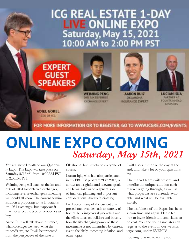## **ICG REAL ESTATE 1-DAY** LIVE ONLINE EXPO<br>Saturday, May 15, 2021<br>10:00 AM to 2:00 PM PST

### **EXPERT GUEST SPEAKERS**



**WEIMING PENG OTLYAX DEFENSED CXCHANGE EXPERT** 



**AARON RUIZ OIL ANONA** INSURANCE EXPERT



**LUCIAN IOIA** PARTISTR AT **FOUNTAINMEAD ADVISORS** 

**ADIEL GOREL CEO OF ICG** 

#### FOR MORE INFORMATION OR TO REGISTER, GO TO WWW.ICGRE.COM/EVENTS

## **ONLINE EXPO COMING** *Saturday, May 15th, 2021*

You are invited to attend our Quarterly Expo. The Expo will take place on Saturday 5/15/21 from 10:00AM PST to 2:00PM PST.

Weiming Peng will teach us the ins and outs of 1031 tax-deferred exchanges, including reverse exchanges, something we should all know. The current administration is proposing some limitations on 1031 exchanges, but it appears it may not affect the type of properties we buy.

Aaron Ruiz will talk about insurance, what coverages we need, what the tradeoffs are, etc. It will be presented from the perspective of the state of

Oklahoma, but is useful to everyone, of course.

Lucian Ioja, who had also participated in my PBS TV program "Life 201", is always an insightful and relevant speaker. He will take us on a general ride of financial planning and important considerations. Always fascinating.

I will cover many of the current unprecedented realities such as scarcity of homes, building costs skyrocketing and the effect it has on builders and buyers, how the life-changing power of these investments is not diminished by current event, the likely upcoming inflation, and other topics.

I will also summarize the day at the end, and take a lot of your questions live.

The market teams will present, and describe the unique situation each market is going through, as well as what properties are currently available, and what will be available shortly.

The usefulness of the Expos has been shown time and again. Please feel free to invite friends and associates, at no cost. You and your associates can register to the event on our website: icgre.com, under EVENTS.

Looking forward to seeing you.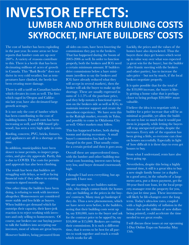## **INVESTOR EFFECTS: LUMBER AND OTHER BUILDING COSTS SKYROCKET, INFLATE BUILDERS' COSTS**

The cost of lumber has been exploding in the past year. In some areas we hear reports that lumber costs are up over 200%. A variety of reasons contribute to this. There is a beetle that has been decimating millions of acres of growth in Canada. This "Bark Beetle" does not thrive in very cold weather, but as temperatures have climbed, the beetle has been creating more damage.

There is still a tariff on Canadian lumber which elevates its costs as well. The fires which raged in Oregon and California last year, have also decimated large growth acreages.

It is not only the cost of lumber which has been contributing to the cost of building homes. Drywall costs has been increasing as well, and OSB board (plywood), has seen a very high spike in costs.

Roofing, concrete, PVC, bricks, fixtures, and appliances are all in a shortage at this time.

In addition, municipalities have been slower to issue permits, to inspect properties, and give city approvals. Partly, this is due to COVID. The costs for permits and approvals has also been climbing.

The result has been that builders are struggling with delays, as well as facing financial ruin if they adhere to existing contracts signed months ago.

One other thing the builders have been doing, is refusing to work with investors altogether. Homeowners are considered more stable and less fickle as buyers. When builders get demand which far outstrips their capacity, their knee-jerk reaction is to reject working with investors and only selling to homeowners. Of course, our brokers use our buying power to talk the builders into accepting our investors, most of whom are great buyers.

However builders, being pressured from

all sides on costs, have been lowering the commissions they pay to the brokers. That has happened during the boom of 2005-2006 as well. In order to function properly, both the brokers and ICG need a certain minimum amount. If builders drive commissions below a bare minimum (needless to say the brokers and ICG have already reduced what they will accept in several markets), then the broker will ask the buyer to make up the shortage. These are usually expressed in sums of 1-1.5% of the purchase price, and they help sustain a functional operation on the brokers side as well as ICG, to maintain investor support and create the smoothest experience. We have seen this in the Raleigh market, recently in Tulsa, and possibly to come in Oklahoma City as well. Other markets may follow.

This has happened before, both during booms and during recessions. A small buyer's commission has had to be charged in the past. That usually exists for a certain period and then it goes away.

Overall these are unprecedented times, with the lumber and other building material costs booming, interest rates being very low, and buyer demand enormously high.

I thought I had seen everything, but apparently I have not.

We are starting to see builders nationwide, who simply cannot finish the homes they are building, at the prices in the buyers' contracts. Many may go bankrupt if they do. Thus a new phenomenon, which we have never seen before, is the builders, seeing that their building costs went up by, say \$30,000, turn to the buyer and ask for the contract price to be upped by, say \$10,000 or \$15,000. Brokers are cutting their commissions. It is such a different time, that it seems to be best for all parties to work together and reach a result which works for all.

Luckily, the prices and the values of the homes have also skyrocketed. Thus the buyers these days get homes which went up in value way over what was expected (a great win for the buyer), but the builder (after frantic meeting with the brokers and other parties), has to increase the sales price – but not by much, if the local brokers negotiate properly.

It is quite possible that for the total of the \$10,000 increase, the buyer is likely getting a home value that is perhaps closer to being perhaps \$20,000+ more valuable.

I believe the idea is to negotiate with a builder for a price increase that will be as minimal as possible, yet allow the builders not to lose so much that it would put them in jeopardy, while letting the buyers still reap unexpected profits, despite the increases. Every side of the equation has been giving a little, so everyone can close on houses successfully. Especially in light of how difficult it is these days to even get houses to buy.

From what I understand, rents have also been going up.

Nevertheless, despite this being a highly unusual time, it still is a great idea to buy a new single family home (or a duplex in a good area), in the suburbs of a large metro area, put a down payment, get the 30-year fixed rate loan, let the local property manager rent the property for you, then just let time pass. These investments will likely be life-changers over the long term. Today's ultra-low rates, coupled with a high probability of inflation in the future (due to the trillions of new dollars being printed), could accelerate the time needed to see great results.

I will discuss these issues at our upcoming 1-Day Online Expo on Saturday May 15th.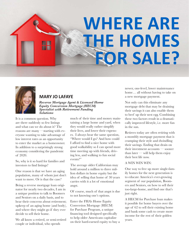## **WHERE ARE THE HOMES FOR SALE?**



### **MARY JO LAFAYE**

*Reverse Mortgage Agent & Licensed Home Equity Conversion Mortgage (HECM) Specialist with Retirement Funding Solutions*

It is a common question. Why are there suddenly so few listings and what can we do about it? The reasons are many —starting with everyone wanting to take advantage of low interest rates as an opportunity to enter the market as a homeowner. In addition to a surprisingly strong economy considering the pandemic of 2020.

So, why is it so hard for families and investors to find listings?

One reason is that we have an aging population, many of whom just don't want to move. Or is that the case?

Being a reverse mortgage loan originator for nearly two decades, I am in a unique position to talk to Boomers and Seniors on a daily basis, and to hear their concerns about retirement; upkeep of an aging home (and body), and where they might go if they ever decide to sell their home.

We all know a retired, or semi-retired couple or individual, who spends

much of their time and money maintaining a large home and yard, when they would really rather simplify their lives, and lower their expenses. I always hear the same question, "Where would I go? And how could I afford to find a nice home with good walkability so I can spend more time meeting up with friends, driving less, and walking to fun social events?"

The average older Californian may hold around a million to three million dollars in home equity but the idea of selling that home of 30 years carries with it a lot of emotional angst.

Of course, much of that angst is due to not knowing one's options.

Enter the FHA's Home Equity Conversion Mortgage (HECM) for Purchase Program, a unique financing tool designed specifically to help older Americans capitalize on their hard-earned equity to buy a newer, one-level, lower maintenance home… all without having to take on a new mortgage payment.

Not only can this eliminate any mortgage debt that may be draining their savings it can also enable them to beef up their nest egg. Combining these two factors result in a dramatically improved lifestyle, i.e. more fun in the sun.

Retirees today are often retiring with a monthly mortgage payment that is cramping their style and dwindling their savings. Ending that drain on their investment accounts — sooner than later — will help them enjoy their best life now.

#### A WIN WIN WIN:

One way to free up more single-family homes for the next generation is to educate America's ever-growing segment of our population, Boomers and Seniors, on how to sell their too-large-home, and find one that's just right.

A HECM for Purchase loan makes it possible for home buyers over the age of 62 to sell their existing home and bank some cash to create more income for the rest of their golden years.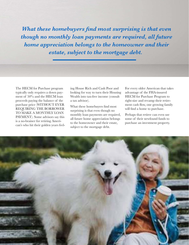*What these homebuyers find most surprising is that even though no monthly loan payments are required, all future home appreciation belongs to the homeowner and their estate, subject to the mortgage debt.* 

The HECM for Purchase program typically only requires a down payment of 50% and the HECM loan proceeds paying the balance of the purchase price (WITHOUT EVER REQUIRING THE BORROWER TO MAKE A MONTHLY LOAN PAYMENT). Some advisors say this is a no-brainer for retiring American's who hit their golden years feeling House Rich and Cash Poor and looking for way to turn their Housing Wealth into tax-free income (consult a tax advisor).

What these homebuyers find most surprising is that even though no monthly loan payments are required, all future home appreciation belongs to the homeowner and their estate, subject to the mortgage debt.

For every older American that takes advantage of the FHA-insured HECM for Purchase Program to right-size and revamp their retirement cash flow, one growing family will find a home to purchase.

Perhaps that retiree can even use some of their newfound funds to purchase an investment property.

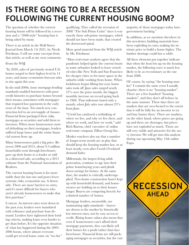### **IS THERE GOING TO BE A RECESSION FOLLOWING THE CURRENT HOUSING BOOM?**

The question of whether the current housing boom will be followed by a recession and a "2008-style" housing bust is being asked by many.

There is an article in the Wall Street Journal from March 15t 2021, by Nicole Friedman. I will use some excerpts from that article, as well as my own comments.

From the WSJ:

"In 2020, sales of previously owned U.S. homes surged to their highest level in 14 years, and many economists forecast sales to rise again this year.

In the mid-2000s, loose mortgage-lending standards enabled borrowers with poor credit histories to purchase homes beyond their means, sometimes with mortgages that required low payments in the early years of the loan. Too much new construction led to an oversupply of houses. Financial firms packaged these risky mortgages as securities and sold them to investors. When more homeowners started defaulting on their mortgages, lenders suffered large losses and the entire financial system froze up.

Many homeowners paid a big price. Between 2006 and 2014, about 9.3 million households went through foreclosure, gave up their home to a lender or sold in a distressed sale, according to a 2015 estimate from the National Association of Realtors.

The current housing boom is far more stable than the last one and poses fewer systemic risks, economists say. A downside: There are more barriers to entry, and it's more difficult for buyers who aren't already homeowners to make that first purchase."

I concur. As interest rates went down in the past year, lenders were inundated with refinance and purchase loan demand. Lenders have tightened their lending criteria, making loans even harder to get than before, It's the opposite situation of what has happened during the 2005- 2006 boom, where almost everyone could get several loans, some on "no doc" qualifying. They called the recession of 2008 "The Sub Prime Crisis" since it was exactly those sub-prime mortgages, which should not have been made, that created the downward spiral.

More good material from the WSJ article by Ms. Friedman:

"Most real-estate analysts agree that the pandemic helped ignite the current boom as some urbanites looked to leave crowded cities like New York and San Francisco for cheaper cities or for more space in the suburbs while working from home. When lockdowns began lifting last year, home sales took off: June sales surged nearly 21% over the prior month, the biggest monthly increase on record going back to 1968. That milestone lasted only a month, when July sales rose almost 25% from June.

"Covid has catalyzed a rethinking of where we live, and why we live there, and where we work, and how we work," said Rich Barton, chief executive of online real-estate company Zillow Group Inc.

Market watchers also say that a number of longer-term trends are at play that should keep the housing market hot, or at least steady, even after Covid-19-related demand fades.

Millennials, the largest living adult generation, continue to age into their prime homebuying years and plunk down savings for homes. At the same time, the market is critically undersupplied. New-home construction hasn't kept up with household demand, and homeowners are holding on to their houses longer. Buyers are competing fiercely for a limited number of homes.

Mortgage lenders, meanwhile, are maintaining tight standards—buyers are drawn to the market by historically low interest rates, not by easy access to credit. Rising home values also mean that even if homeowners can't afford their mortgage payments, they can likely sell their homes for a profit rather than face foreclosure. Financial firms are still packaging mortgages as securities, but the vast

majority of those mortgages today have government backing."

In addition, as we mention elsewhere in this newsletter, building materials have been exploding in costs, making the intrinsic price to build a home higher. The lumber shortage could last a while.

All these elements put together indicate that when the heat lets up on the housing market, the following wave is much less likely to be as recessionary as the one from 2008.

Of course, by saying "the housing market" I commit the same error I usually chastise: there is no "housing market". There are a few hundred "housing markets", and they don't all behave in the same manner. These days there are markets that are over-heated to the extent that it will be folly for an investor to try and buy homes there. There are markets, on the other hand, where prices are going up and there are shortages, but prices have not exploded as much. Those are still very viable and attractive for the savvy investor. We will get into this analysis during our upcoming May 15th online Expo.

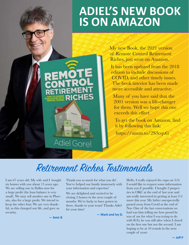## **ADIEL'S NEW BOOK IS ON AMAZON**

My new Book, the 2021 version of Remote Control Retirement Riches, just went on Amazon.

It has been updated from the 2018 edition to include discussions of COVID, and other timely issues. The book interior has been made more accessible and attractive.

Many of you have said that the 2001 version was a life-changer for them. Well we hope this one exceeds this effect.

To get the book on Amazon, find it by following this link:

https://amzn.to/2S3cqvG

## Retirement Riches Testimonials

**Adiel Gorel** 

I am 67 years old. My wife and I bought six homes with you about 15 years ago. We are selling one in Dallas now for a large profit (the loan balance is very small). We may sell another one in Phoenix, also for a large profit. We intend to keep the other four. We are very thankful, as this changed our life, and gave us security.

**— Amir B**

Thank you so much for what you do! You've helped our family immensely with your information and expertise!

We are delighted and excited to be closing 2 homes in the next couple of months. We're lucky to have gotten in there, thanks to your team! Thanks Adiel for your time!

**— Mark and Ivy D.**

Hello. I really enjoyed the expo on 3/6. I would like to request some information from you if possible. I bought 2 properties in OKC at the end of last year and am really interested in getting at least 2-3 more this year. My father unexpectedly passed away from Covid at the end of Nov. One of the last conversations we had was him telling me how proud he was of me for what I was trying to do with ICG, he was still alive when I closed on the first one but not the second. I am hoping to be at 10 rentals in the next couple of years